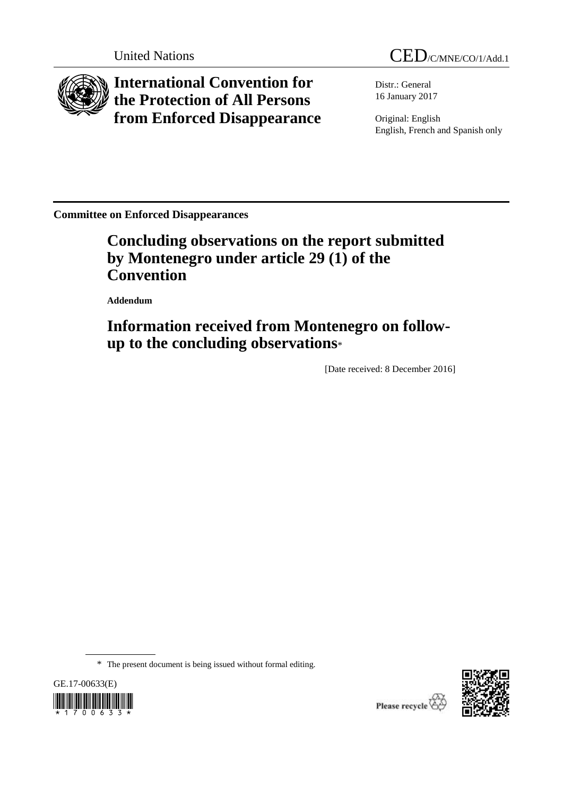

**International Convention for the Protection of All Persons from Enforced Disappearance**

United Nations CED/C/MNE/CO/1/Add.1

Distr.: General 16 January 2017

Original: English English, French and Spanish only

**Committee on Enforced Disappearances**

# **Concluding observations on the report submitted by Montenegro under article 29 (1) of the Convention**

**Addendum**

# **Information received from Montenegro on followup to the concluding observations**\*

[Date received: 8 December 2016]

\* The present document is being issued without formal editing.





Please recycle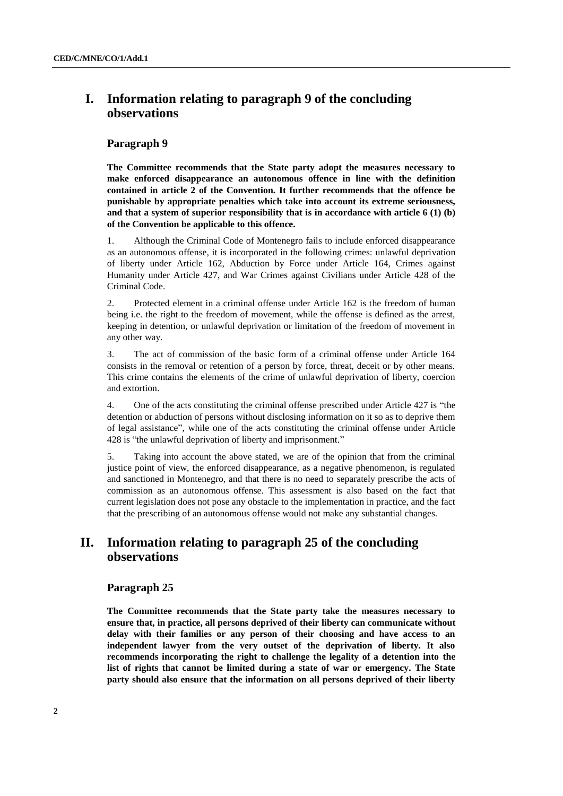## **I. Information relating to paragraph 9 of the concluding observations**

## **Paragraph 9**

**The Committee recommends that the State party adopt the measures necessary to make enforced disappearance an autonomous offence in line with the definition contained in article 2 of the Convention. It further recommends that the offence be punishable by appropriate penalties which take into account its extreme seriousness, and that a system of superior responsibility that is in accordance with article 6 (1) (b) of the Convention be applicable to this offence.**

1. Although the Criminal Code of Montenegro fails to include enforced disappearance as an autonomous offense, it is incorporated in the following crimes: unlawful deprivation of liberty under Article 162, Abduction by Force under Article 164, Crimes against Humanity under Article 427, and War Crimes against Civilians under Article 428 of the Criminal Code.

2. Protected element in a criminal offense under Article 162 is the freedom of human being i.e. the right to the freedom of movement, while the offense is defined as the arrest, keeping in detention, or unlawful deprivation or limitation of the freedom of movement in any other way.

3. The act of commission of the basic form of a criminal offense under Article 164 consists in the removal or retention of a person by force, threat, deceit or by other means. This crime contains the elements of the crime of unlawful deprivation of liberty, coercion and extortion.

4. One of the acts constituting the criminal offense prescribed under Article 427 is "the detention or abduction of persons without disclosing information on it so as to deprive them of legal assistance", while one of the acts constituting the criminal offense under Article 428 is "the unlawful deprivation of liberty and imprisonment."

5. Taking into account the above stated, we are of the opinion that from the criminal justice point of view, the enforced disappearance, as a negative phenomenon, is regulated and sanctioned in Montenegro, and that there is no need to separately prescribe the acts of commission as an autonomous offense. This assessment is also based on the fact that current legislation does not pose any obstacle to the implementation in practice, and the fact that the prescribing of an autonomous offense would not make any substantial changes.

## **II. Information relating to paragraph 25 of the concluding observations**

### **Paragraph 25**

**The Committee recommends that the State party take the measures necessary to ensure that, in practice, all persons deprived of their liberty can communicate without delay with their families or any person of their choosing and have access to an independent lawyer from the very outset of the deprivation of liberty. It also recommends incorporating the right to challenge the legality of a detention into the list of rights that cannot be limited during a state of war or emergency. The State party should also ensure that the information on all persons deprived of their liberty**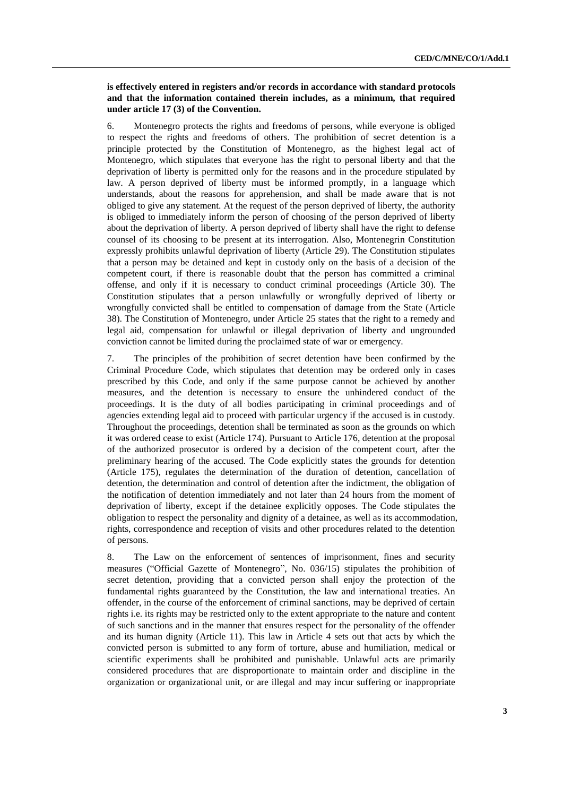### **is effectively entered in registers and/or records in accordance with standard protocols and that the information contained therein includes, as a minimum, that required under article 17 (3) of the Convention.**

6. Montenegro protects the rights and freedoms of persons, while everyone is obliged to respect the rights and freedoms of others. The prohibition of secret detention is a principle protected by the Constitution of Montenegro, as the highest legal act of Montenegro, which stipulates that everyone has the right to personal liberty and that the deprivation of liberty is permitted only for the reasons and in the procedure stipulated by law. A person deprived of liberty must be informed promptly, in a language which understands, about the reasons for apprehension, and shall be made aware that is not obliged to give any statement. At the request of the person deprived of liberty, the authority is obliged to immediately inform the person of choosing of the person deprived of liberty about the deprivation of liberty. A person deprived of liberty shall have the right to defense counsel of its choosing to be present at its interrogation. Also, Montenegrin Constitution expressly prohibits unlawful deprivation of liberty (Article 29). The Constitution stipulates that a person may be detained and kept in custody only on the basis of a decision of the competent court, if there is reasonable doubt that the person has committed a criminal offense, and only if it is necessary to conduct criminal proceedings (Article 30). The Constitution stipulates that a person unlawfully or wrongfully deprived of liberty or wrongfully convicted shall be entitled to compensation of damage from the State (Article 38). The Constitution of Montenegro, under Article 25 states that the right to a remedy and legal aid, compensation for unlawful or illegal deprivation of liberty and ungrounded conviction cannot be limited during the proclaimed state of war or emergency.

7. The principles of the prohibition of secret detention have been confirmed by the Criminal Procedure Code, which stipulates that detention may be ordered only in cases prescribed by this Code, and only if the same purpose cannot be achieved by another measures, and the detention is necessary to ensure the unhindered conduct of the proceedings. It is the duty of all bodies participating in criminal proceedings and of agencies extending legal aid to proceed with particular urgency if the accused is in custody. Throughout the proceedings, detention shall be terminated as soon as the grounds on which it was ordered cease to exist (Article 174). Pursuant to Article 176, detention at the proposal of the authorized prosecutor is ordered by a decision of the competent court, after the preliminary hearing of the accused. The Code explicitly states the grounds for detention (Article 175), regulates the determination of the duration of detention, cancellation of detention, the determination and control of detention after the indictment, the obligation of the notification of detention immediately and not later than 24 hours from the moment of deprivation of liberty, except if the detainee explicitly opposes. The Code stipulates the obligation to respect the personality and dignity of a detainee, as well as its accommodation, rights, correspondence and reception of visits and other procedures related to the detention of persons.

8. The Law on the enforcement of sentences of imprisonment, fines and security measures ("Official Gazette of Montenegro", No. 036/15) stipulates the prohibition of secret detention, providing that a convicted person shall enjoy the protection of the fundamental rights guaranteed by the Constitution, the law and international treaties. An offender, in the course of the enforcement of criminal sanctions, may be deprived of certain rights i.e. its rights may be restricted only to the extent appropriate to the nature and content of such sanctions and in the manner that ensures respect for the personality of the offender and its human dignity (Article 11). This law in Article 4 sets out that acts by which the convicted person is submitted to any form of torture, abuse and humiliation, medical or scientific experiments shall be prohibited and punishable. Unlawful acts are primarily considered procedures that are disproportionate to maintain order and discipline in the organization or organizational unit, or are illegal and may incur suffering or inappropriate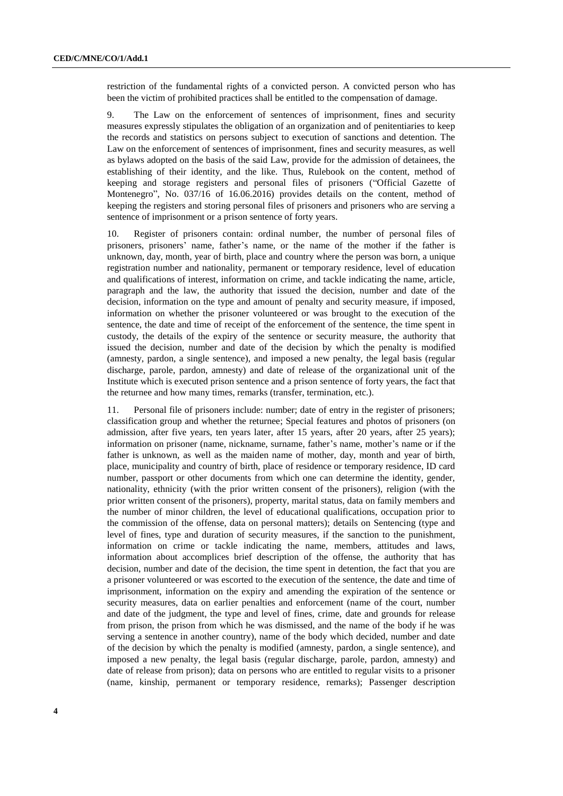restriction of the fundamental rights of a convicted person. A convicted person who has been the victim of prohibited practices shall be entitled to the compensation of damage.

9. The Law on the enforcement of sentences of imprisonment, fines and security measures expressly stipulates the obligation of an organization and of penitentiaries to keep the records and statistics on persons subject to execution of sanctions and detention. The Law on the enforcement of sentences of imprisonment, fines and security measures, as well as bylaws adopted on the basis of the said Law, provide for the admission of detainees, the establishing of their identity, and the like. Thus, Rulebook on the content, method of keeping and storage registers and personal files of prisoners ("Official Gazette of Montenegro", No. 037/16 of 16.06.2016) provides details on the content, method of keeping the registers and storing personal files of prisoners and prisoners who are serving a sentence of imprisonment or a prison sentence of forty years.

10. Register of prisoners contain: ordinal number, the number of personal files of prisoners, prisoners' name, father's name, or the name of the mother if the father is unknown, day, month, year of birth, place and country where the person was born, a unique registration number and nationality, permanent or temporary residence, level of education and qualifications of interest, information on crime, and tackle indicating the name, article, paragraph and the law, the authority that issued the decision, number and date of the decision, information on the type and amount of penalty and security measure, if imposed, information on whether the prisoner volunteered or was brought to the execution of the sentence, the date and time of receipt of the enforcement of the sentence, the time spent in custody, the details of the expiry of the sentence or security measure, the authority that issued the decision, number and date of the decision by which the penalty is modified (amnesty, pardon, a single sentence), and imposed a new penalty, the legal basis (regular discharge, parole, pardon, amnesty) and date of release of the organizational unit of the Institute which is executed prison sentence and a prison sentence of forty years, the fact that the returnee and how many times, remarks (transfer, termination, etc.).

11. Personal file of prisoners include: number; date of entry in the register of prisoners; classification group and whether the returnee; Special features and photos of prisoners (on admission, after five years, ten years later, after 15 years, after 20 years, after 25 years); information on prisoner (name, nickname, surname, father's name, mother's name or if the father is unknown, as well as the maiden name of mother, day, month and year of birth, place, municipality and country of birth, place of residence or temporary residence, ID card number, passport or other documents from which one can determine the identity, gender, nationality, ethnicity (with the prior written consent of the prisoners), religion (with the prior written consent of the prisoners), property, marital status, data on family members and the number of minor children, the level of educational qualifications, occupation prior to the commission of the offense, data on personal matters); details on Sentencing (type and level of fines, type and duration of security measures, if the sanction to the punishment, information on crime or tackle indicating the name, members, attitudes and laws, information about accomplices brief description of the offense, the authority that has decision, number and date of the decision, the time spent in detention, the fact that you are a prisoner volunteered or was escorted to the execution of the sentence, the date and time of imprisonment, information on the expiry and amending the expiration of the sentence or security measures, data on earlier penalties and enforcement (name of the court, number and date of the judgment, the type and level of fines, crime, date and grounds for release from prison, the prison from which he was dismissed, and the name of the body if he was serving a sentence in another country), name of the body which decided, number and date of the decision by which the penalty is modified (amnesty, pardon, a single sentence), and imposed a new penalty, the legal basis (regular discharge, parole, pardon, amnesty) and date of release from prison); data on persons who are entitled to regular visits to a prisoner (name, kinship, permanent or temporary residence, remarks); Passenger description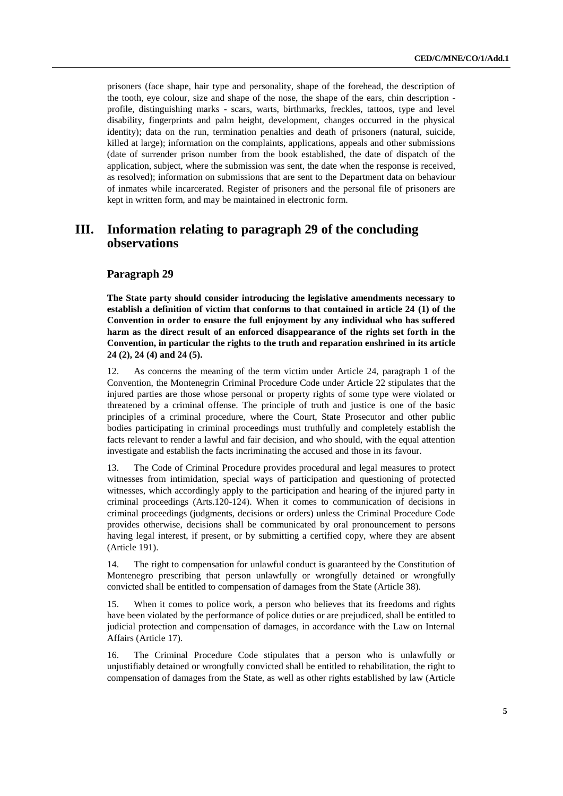prisoners (face shape, hair type and personality, shape of the forehead, the description of the tooth, eye colour, size and shape of the nose, the shape of the ears, chin description profile, distinguishing marks - scars, warts, birthmarks, freckles, tattoos, type and level disability, fingerprints and palm height, development, changes occurred in the physical identity); data on the run, termination penalties and death of prisoners (natural, suicide, killed at large); information on the complaints, applications, appeals and other submissions (date of surrender prison number from the book established, the date of dispatch of the application, subject, where the submission was sent, the date when the response is received, as resolved); information on submissions that are sent to the Department data on behaviour of inmates while incarcerated. Register of prisoners and the personal file of prisoners are kept in written form, and may be maintained in electronic form.

## **III. Information relating to paragraph 29 of the concluding observations**

### **Paragraph 29**

**The State party should consider introducing the legislative amendments necessary to establish a definition of victim that conforms to that contained in article 24 (1) of the Convention in order to ensure the full enjoyment by any individual who has suffered harm as the direct result of an enforced disappearance of the rights set forth in the Convention, in particular the rights to the truth and reparation enshrined in its article 24 (2), 24 (4) and 24 (5).** 

12. As concerns the meaning of the term victim under Article 24, paragraph 1 of the Convention, the Montenegrin Criminal Procedure Code under Article 22 stipulates that the injured parties are those whose personal or property rights of some type were violated or threatened by a criminal offense. The principle of truth and justice is one of the basic principles of a criminal procedure, where the Court, State Prosecutor and other public bodies participating in criminal proceedings must truthfully and completely establish the facts relevant to render a lawful and fair decision, and who should, with the equal attention investigate and establish the facts incriminating the accused and those in its favour.

13. The Code of Criminal Procedure provides procedural and legal measures to protect witnesses from intimidation, special ways of participation and questioning of protected witnesses, which accordingly apply to the participation and hearing of the injured party in criminal proceedings (Arts.120-124). When it comes to communication of decisions in criminal proceedings (judgments, decisions or orders) unless the Criminal Procedure Code provides otherwise, decisions shall be communicated by oral pronouncement to persons having legal interest, if present, or by submitting a certified copy, where they are absent (Article 191).

14. The right to compensation for unlawful conduct is guaranteed by the Constitution of Montenegro prescribing that person unlawfully or wrongfully detained or wrongfully convicted shall be entitled to compensation of damages from the State (Article 38).

15. When it comes to police work, a person who believes that its freedoms and rights have been violated by the performance of police duties or are prejudiced, shall be entitled to judicial protection and compensation of damages, in accordance with the Law on Internal Affairs (Article 17).

16. The Criminal Procedure Code stipulates that a person who is unlawfully or unjustifiably detained or wrongfully convicted shall be entitled to rehabilitation, the right to compensation of damages from the State, as well as other rights established by law (Article